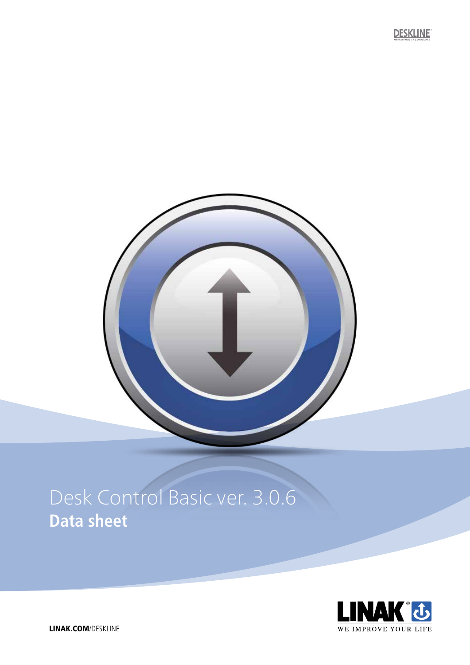# Desk Control Basic ver. 3.0.6 **Data sheet**



**DESKLINE**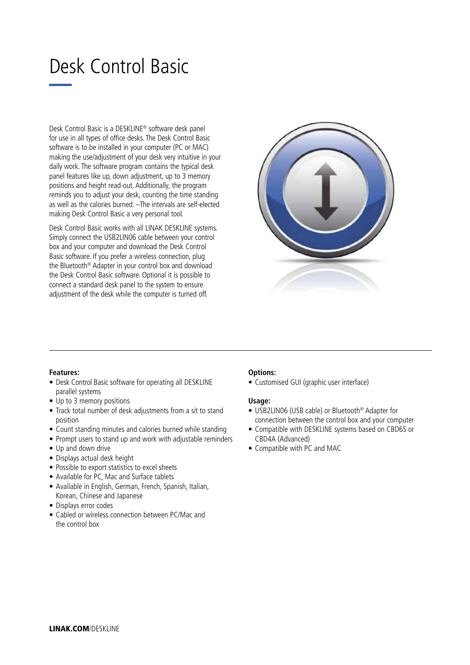# Desk Control Basic

Desk Control Basic is a DESKLINE® software desk panel for use in all types of office desks. The Desk Control Basic software is to be installed in your computer (PC or MAC) making the use/adjustment of your desk very intuitive in your daily work. The software program contains the typical desk panel features like up, down adjustment, up to 3 memory positions and height read-out. Additionally, the program reminds you to adjust your desk, counting the time standing as well as the calories burned. –The intervals are self-elected making Desk Control Basic a very personal tool.

Desk Control Basic works with all LINAK DESKLINE systems. Simply connect the USB2LIN06 cable between your control box and your computer and download the Desk Control Basic software. If you prefer a wireless connection, plug the Bluetooth® Adapter in your control box and download the Desk Control Basic software. Optional it is possible to connect a standard desk panel to the system to ensure adjustment of the desk while the computer is turned off.



# **Features:**

- Desk Control Basic software for operating all DESKLINE parallel systems
- Up to 3 memory positions
- Track total number of desk adjustments from a sit to stand position
- Count standing minutes and calories burned while standing
- Prompt users to stand up and work with adjustable reminders
- Up and down drive
- Displays actual desk height
- Possible to export statistics to excel sheets
- Available for PC, Mac and Surface tablets
- Available in English, German, French, Spanish, Italian, Korean, Chinese and Japanese
- Displays error codes
- Cabled or wireless connection between PC/Mac and the control box

# **Options:**

• Customised GUI (graphic user interface)

# **Usage:**

- USB2LIN06 (USB cable) or Bluetooth® Adapter for connection between the control box and your computer
- Compatible with DESKLINE systems based on CBD6S or CBD4A (Advanced)
- Compatible with PC and MAC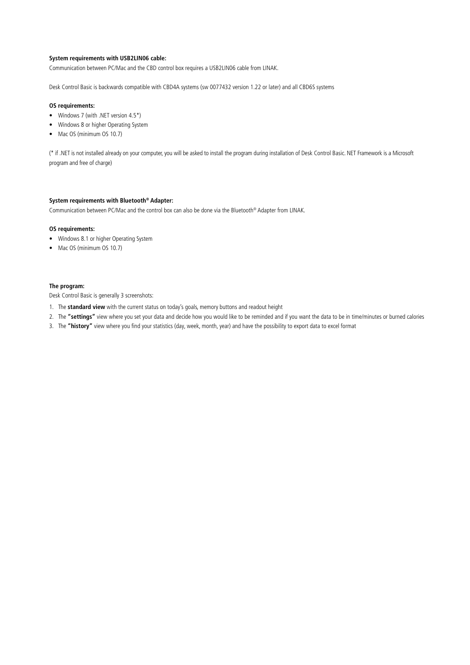#### **System requirements with USB2LIN06 cable:**

Communication between PC/Mac and the CBD control box requires a USB2LIN06 cable from LINAK.

Desk Control Basic is backwards compatible with CBD4A systems (sw 0077432 version 1.22 or later) and all CBD6S systems

#### **OS requirements:**

- Windows 7 (with .NET version 4.5\*)
- Windows 8 or higher Operating System
- Mac OS (minimum OS 10.7)

(\* if .NET is not installed already on your computer, you will be asked to install the program during installation of Desk Control Basic. NET Framework is a Microsoft program and free of charge)

#### **System requirements with Bluetooth® Adapter:**

Communication between PC/Mac and the control box can also be done via the Bluetooth® Adapter from LINAK.

#### **OS requirements:**

- Windows 8.1 or higher Operating System
- Mac OS (minimum OS 10.7)

#### **The program:**

Desk Control Basic is generally 3 screenshots:

- 1. The **standard view** with the current status on today's goals, memory buttons and readout height
- 2. The **"settings"** view where you set your data and decide how you would like to be reminded and if you want the data to be in time/minutes or burned calories
- 3. The **"history"** view where you find your statistics (day, week, month, year) and have the possibility to export data to excel format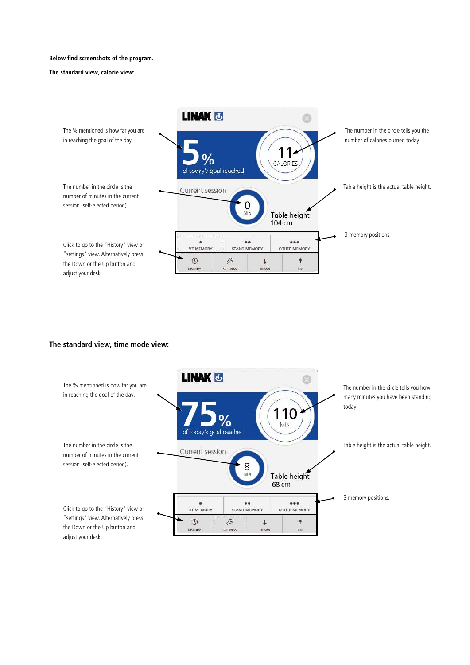#### **Below find screenshots of the program.**

#### **The standard view, calorie view:**



# **The standard view, time mode view:**

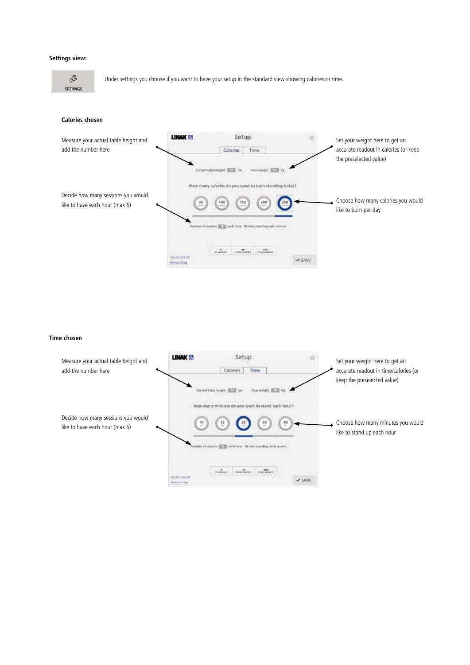#### **Settings view:**

B **SETTINGS** 

Under settings you choose if you want to have your setup in the standard view showing calories or time.

## **Calories chosen**



#### **Time chosen**

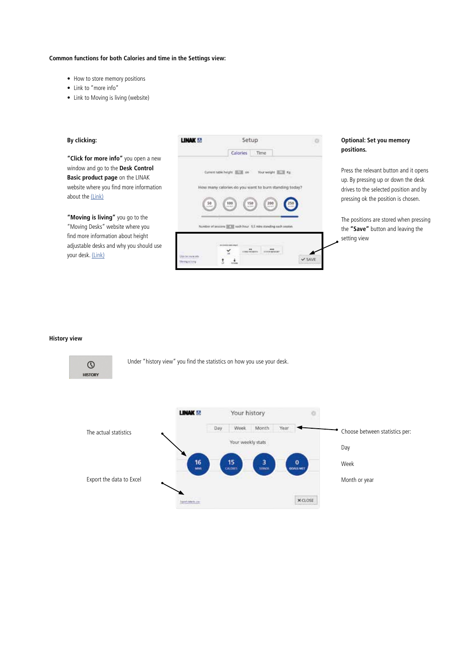# **Common functions for both Calories and time in the Settings view:**

- How to store memory positions
- Link to "more info"
- Link to Moving is living (website)

| By clicking:                                                                                                                                 | <b>THANK AN</b>                                                                                                                                                                         | Setup.           |                                                                             | <b>Optional: Set you memory</b>                                                                                                                                |
|----------------------------------------------------------------------------------------------------------------------------------------------|-----------------------------------------------------------------------------------------------------------------------------------------------------------------------------------------|------------------|-----------------------------------------------------------------------------|----------------------------------------------------------------------------------------------------------------------------------------------------------------|
| "Click for more info" you open a new                                                                                                         |                                                                                                                                                                                         | Time<br>Calories |                                                                             | positions.                                                                                                                                                     |
| window and go to the Desk Control<br>Basic product page on the LINAK<br>website where you find more information<br>about the (Link)          | Current table height IETEL cm<br>Your weight <b>HAW</b> Kg<br>many calories do you want to burn standing today<br>100<br>150<br>Ø<br>50<br>200<br>mind.<br><b>NEWS</b><br><b>Jackin</b> |                  |                                                                             | Press the relevant button and it opens<br>up. By pressing up or down the desk<br>drives to the selected position and by<br>pressing ok the position is chosen. |
| "Moving is living" you go to the<br>"Moving Desks" website where you<br>Number of sessions [[[[]]] each hour 5,5 mins standing each session. |                                                                                                                                                                                         |                  | The positions are stored when pressing<br>the "Save" button and leaving the |                                                                                                                                                                |
| find more information about height<br>adjustable desks and why you should use<br>your desk. (Link)                                           | <b>SCA Ted clearly bet</b>                                                                                                                                                              |                  |                                                                             | setting view                                                                                                                                                   |

## **History view**

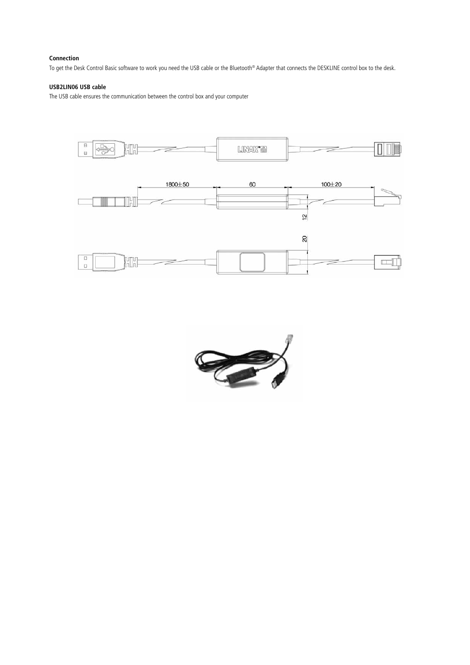# **Connection**

To get the Desk Control Basic software to work you need the USB cable or the Bluetooth® Adapter that connects the DESKLINE control box to the desk.

## **USB2LIN06 USB cable**

The USB cable ensures the communication between the control box and your computer